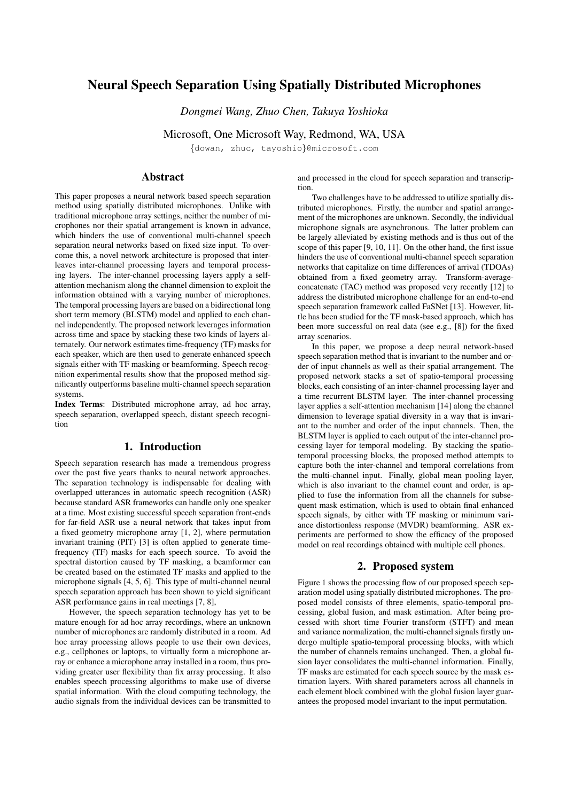# Neural Speech Separation Using Spatially Distributed Microphones

*Dongmei Wang, Zhuo Chen, Takuya Yoshioka*

Microsoft, One Microsoft Way, Redmond, WA, USA

{dowan, zhuc, tayoshio}@microsoft.com

# Abstract

This paper proposes a neural network based speech separation method using spatially distributed microphones. Unlike with traditional microphone array settings, neither the number of microphones nor their spatial arrangement is known in advance, which hinders the use of conventional multi-channel speech separation neural networks based on fixed size input. To overcome this, a novel network architecture is proposed that interleaves inter-channel processing layers and temporal processing layers. The inter-channel processing layers apply a selfattention mechanism along the channel dimension to exploit the information obtained with a varying number of microphones. The temporal processing layers are based on a bidirectional long short term memory (BLSTM) model and applied to each channel independently. The proposed network leverages information across time and space by stacking these two kinds of layers alternately. Our network estimates time-frequency (TF) masks for each speaker, which are then used to generate enhanced speech signals either with TF masking or beamforming. Speech recognition experimental results show that the proposed method significantly outperforms baseline multi-channel speech separation systems.

Index Terms: Distributed microphone array, ad hoc array, speech separation, overlapped speech, distant speech recognition

# 1. Introduction

Speech separation research has made a tremendous progress over the past five years thanks to neural network approaches. The separation technology is indispensable for dealing with overlapped utterances in automatic speech recognition (ASR) because standard ASR frameworks can handle only one speaker at a time. Most existing successful speech separation front-ends for far-field ASR use a neural network that takes input from a fixed geometry microphone array [1, 2], where permutation invariant training (PIT) [3] is often applied to generate timefrequency (TF) masks for each speech source. To avoid the spectral distortion caused by TF masking, a beamformer can be created based on the estimated TF masks and applied to the microphone signals [4, 5, 6]. This type of multi-channel neural speech separation approach has been shown to yield significant ASR performance gains in real meetings [7, 8],

However, the speech separation technology has yet to be mature enough for ad hoc array recordings, where an unknown number of microphones are randomly distributed in a room. Ad hoc array processing allows people to use their own devices, e.g., cellphones or laptops, to virtually form a microphone array or enhance a microphone array installed in a room, thus providing greater user flexibility than fix array processing. It also enables speech processing algorithms to make use of diverse spatial information. With the cloud computing technology, the audio signals from the individual devices can be transmitted to and processed in the cloud for speech separation and transcription.

Two challenges have to be addressed to utilize spatially distributed microphones. Firstly, the number and spatial arrangement of the microphones are unknown. Secondly, the individual microphone signals are asynchronous. The latter problem can be largely alleviated by existing methods and is thus out of the scope of this paper [9, 10, 11]. On the other hand, the first issue hinders the use of conventional multi-channel speech separation networks that capitalize on time differences of arrival (TDOAs) obtained from a fixed geometry array. Transform-averageconcatenate (TAC) method was proposed very recently [12] to address the distributed microphone challenge for an end-to-end speech separation framework called FaSNet [13]. However, little has been studied for the TF mask-based approach, which has been more successful on real data (see e.g., [8]) for the fixed array scenarios.

In this paper, we propose a deep neural network-based speech separation method that is invariant to the number and order of input channels as well as their spatial arrangement. The proposed network stacks a set of spatio-temporal processing blocks, each consisting of an inter-channel processing layer and a time recurrent BLSTM layer. The inter-channel processing layer applies a self-attention mechanism [14] along the channel dimension to leverage spatial diversity in a way that is invariant to the number and order of the input channels. Then, the BLSTM layer is applied to each output of the inter-channel processing layer for temporal modeling. By stacking the spatiotemporal processing blocks, the proposed method attempts to capture both the inter-channel and temporal correlations from the multi-channel input. Finally, global mean pooling layer, which is also invariant to the channel count and order, is applied to fuse the information from all the channels for subsequent mask estimation, which is used to obtain final enhanced speech signals, by either with TF masking or minimum variance distortionless response (MVDR) beamforming. ASR experiments are performed to show the efficacy of the proposed model on real recordings obtained with multiple cell phones.

# 2. Proposed system

Figure 1 shows the processing flow of our proposed speech separation model using spatially distributed microphones. The proposed model consists of three elements, spatio-temporal processing, global fusion, and mask estimation. After being processed with short time Fourier transform (STFT) and mean and variance normalization, the multi-channel signals firstly undergo multiple spatio-temporal processing blocks, with which the number of channels remains unchanged. Then, a global fusion layer consolidates the multi-channel information. Finally, TF masks are estimated for each speech source by the mask estimation layers. With shared parameters across all channels in each element block combined with the global fusion layer guarantees the proposed model invariant to the input permutation.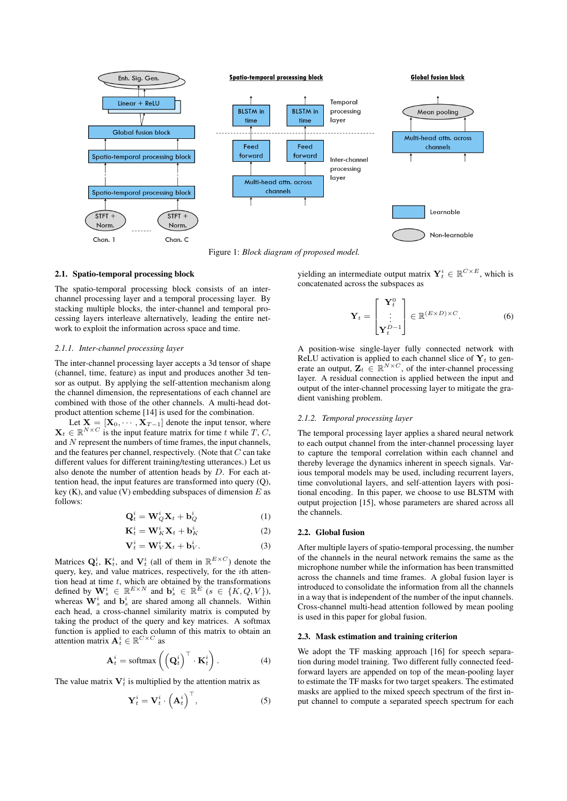

Figure 1: *Block diagram of proposed model.*

### 2.1. Spatio-temporal processing block

The spatio-temporal processing block consists of an interchannel processing layer and a temporal processing layer. By stacking multiple blocks, the inter-channel and temporal processing layers interleave alternatively, leading the entire network to exploit the information across space and time.

# *2.1.1. Inter-channel processing layer*

The inter-channel processing layer accepts a 3d tensor of shape (channel, time, feature) as input and produces another 3d tensor as output. By applying the self-attention mechanism along the channel dimension, the representations of each channel are combined with those of the other channels. A multi-head dotproduct attention scheme [14] is used for the combination.

Let  $X = [X_0, \dots, X_{T-1}]$  denote the input tensor, where  $\mathbf{X}_t \in \mathbb{R}^{N \times C}$  is the input feature matrix for time t while T, C, and  $N$  represent the numbers of time frames, the input channels, and the features per channel, respectively. (Note that  $C$  can take different values for different training/testing utterances.) Let us also denote the number of attention heads by  $D$ . For each attention head, the input features are transformed into query (Q), key (K), and value (V) embedding subspaces of dimension  $E$  as follows:

$$
\mathbf{Q}_t^i = \mathbf{W}_Q^i \mathbf{X}_t + \mathbf{b}_Q^i \tag{1}
$$

$$
\mathbf{K}_t^i = \mathbf{W}_K^i \mathbf{X}_t + \mathbf{b}_K^i
$$
 (2)

$$
\mathbf{V}_t^i = \mathbf{W}_V^i \mathbf{X}_t + \mathbf{b}_V^i.
$$
 (3)

Matrices  $Q_t^i$ ,  $K_t^i$ , and  $V_t^i$  (all of them in  $\mathbb{R}^{E\times C}$ ) denote the query, key, and value matrices, respectively, for the ith attention head at time  $t$ , which are obtained by the transformations defined by  $\mathbf{W}_s^i \in \mathbb{R}^{E \times N}$  and  $\mathbf{b}_s^i \in \mathbb{R}^E$   $(s \in \{K, Q, V\})$ , whereas  $\mathbf{W}_s^i$  and  $\mathbf{b}_s^i$  are shared among all channels. Within each head, a cross-channel similarity matrix is computed by taking the product of the query and key matrices. A softmax function is applied to each column of this matrix to obtain an attention matrix  $A_t^i \in \mathbb{R}^{C \times C}$  as

$$
\mathbf{A}_t^i = \text{softmax}\left(\left(\mathbf{Q}_t^i\right)^\top \cdot \mathbf{K}_t^i\right). \tag{4}
$$

The value matrix  $V_t^i$  is multiplied by the attention matrix as

$$
\mathbf{Y}_t^i = \mathbf{V}_t^i \cdot \left(\mathbf{A}_t^i\right)^\top, \tag{5}
$$

yielding an intermediate output matrix  $\mathbf{Y}_t^i \in \mathbb{R}^{C \times E}$ , which is concatenated across the subspaces as

$$
\mathbf{Y}_{t} = \begin{bmatrix} \mathbf{Y}_{t}^{0} \\ \vdots \\ \mathbf{Y}_{t}^{D-1} \end{bmatrix} \in \mathbb{R}^{(E \times D) \times C}.
$$
 (6)

A position-wise single-layer fully connected network with ReLU activation is applied to each channel slice of  $Y_t$  to generate an output,  $\mathbf{Z}_t \in \mathbb{R}^{N \times C}$ , of the inter-channel processing layer. A residual connection is applied between the input and output of the inter-channel processing layer to mitigate the gradient vanishing problem.

#### *2.1.2. Temporal processing layer*

The temporal processing layer applies a shared neural network to each output channel from the inter-channel processing layer to capture the temporal correlation within each channel and thereby leverage the dynamics inherent in speech signals. Various temporal models may be used, including recurrent layers, time convolutional layers, and self-attention layers with positional encoding. In this paper, we choose to use BLSTM with output projection [15], whose parameters are shared across all the channels.

### 2.2. Global fusion

After multiple layers of spatio-temporal processing, the number of the channels in the neural network remains the same as the microphone number while the information has been transmitted across the channels and time frames. A global fusion layer is introduced to consolidate the information from all the channels in a way that is independent of the number of the input channels. Cross-channel multi-head attention followed by mean pooling is used in this paper for global fusion.

#### 2.3. Mask estimation and training criterion

We adopt the TF masking approach [16] for speech separation during model training. Two different fully connected feedforward layers are appended on top of the mean-pooling layer to estimate the TF masks for two target speakers. The estimated masks are applied to the mixed speech spectrum of the first input channel to compute a separated speech spectrum for each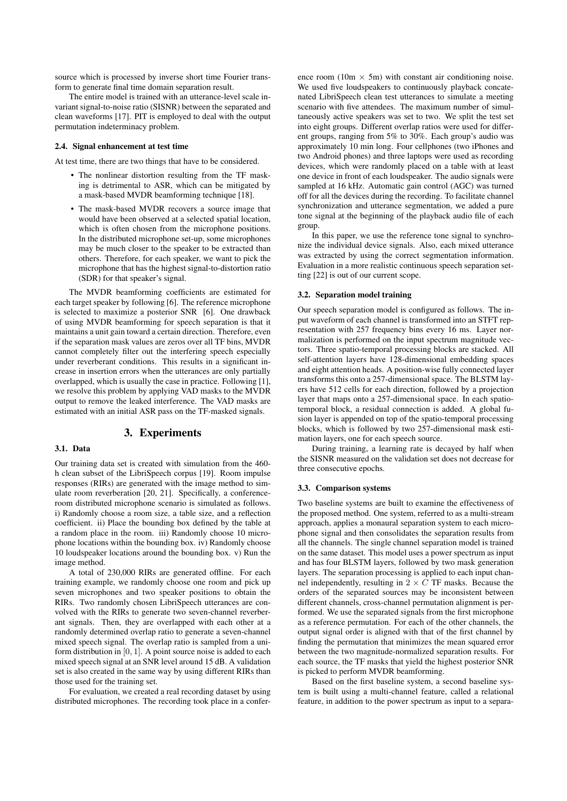source which is processed by inverse short time Fourier transform to generate final time domain separation result.

The entire model is trained with an utterance-level scale invariant signal-to-noise ratio (SISNR) between the separated and clean waveforms [17]. PIT is employed to deal with the output permutation indeterminacy problem.

### 2.4. Signal enhancement at test time

At test time, there are two things that have to be considered.

- The nonlinear distortion resulting from the TF masking is detrimental to ASR, which can be mitigated by a mask-based MVDR beamforming technique [18].
- The mask-based MVDR recovers a source image that would have been observed at a selected spatial location, which is often chosen from the microphone positions. In the distributed microphone set-up, some microphones may be much closer to the speaker to be extracted than others. Therefore, for each speaker, we want to pick the microphone that has the highest signal-to-distortion ratio (SDR) for that speaker's signal.

The MVDR beamforming coefficients are estimated for each target speaker by following [6]. The reference microphone is selected to maximize a posterior SNR [6]. One drawback of using MVDR beamforming for speech separation is that it maintains a unit gain toward a certain direction. Therefore, even if the separation mask values are zeros over all TF bins, MVDR cannot completely filter out the interfering speech especially under reverberant conditions. This results in a significant increase in insertion errors when the utterances are only partially overlapped, which is usually the case in practice. Following [1], we resolve this problem by applying VAD masks to the MVDR output to remove the leaked interference. The VAD masks are estimated with an initial ASR pass on the TF-masked signals.

# 3. Experiments

# 3.1. Data

Our training data set is created with simulation from the 460 h clean subset of the LibriSpeech corpus [19]. Room impulse responses (RIRs) are generated with the image method to simulate room reverberation [20, 21]. Specifically, a conferenceroom distributed microphone scenario is simulated as follows. i) Randomly choose a room size, a table size, and a reflection coefficient. ii) Place the bounding box defined by the table at a random place in the room. iii) Randomly choose 10 microphone locations within the bounding box. iv) Randomly choose 10 loudspeaker locations around the bounding box. v) Run the image method.

A total of 230,000 RIRs are generated offline. For each training example, we randomly choose one room and pick up seven microphones and two speaker positions to obtain the RIRs. Two randomly chosen LibriSpeech utterances are convolved with the RIRs to generate two seven-channel reverberant signals. Then, they are overlapped with each other at a randomly determined overlap ratio to generate a seven-channel mixed speech signal. The overlap ratio is sampled from a uniform distribution in [0, 1]. A point source noise is added to each mixed speech signal at an SNR level around 15 dB. A validation set is also created in the same way by using different RIRs than those used for the training set.

For evaluation, we created a real recording dataset by using distributed microphones. The recording took place in a confer-

ence room (10m  $\times$  5m) with constant air conditioning noise. We used five loudspeakers to continuously playback concatenated LibriSpeech clean test utterances to simulate a meeting scenario with five attendees. The maximum number of simultaneously active speakers was set to two. We split the test set into eight groups. Different overlap ratios were used for different groups, ranging from 5% to 30%. Each group's audio was approximately 10 min long. Four cellphones (two iPhones and two Android phones) and three laptops were used as recording devices, which were randomly placed on a table with at least one device in front of each loudspeaker. The audio signals were sampled at 16 kHz. Automatic gain control (AGC) was turned off for all the devices during the recording. To facilitate channel synchronization and utterance segmentation, we added a pure tone signal at the beginning of the playback audio file of each group.

In this paper, we use the reference tone signal to synchronize the individual device signals. Also, each mixed utterance was extracted by using the correct segmentation information. Evaluation in a more realistic continuous speech separation setting [22] is out of our current scope.

### 3.2. Separation model training

Our speech separation model is configured as follows. The input waveform of each channel is transformed into an STFT representation with 257 frequency bins every 16 ms. Layer normalization is performed on the input spectrum magnitude vectors. Three spatio-temporal processing blocks are stacked. All self-attention layers have 128-dimensional embedding spaces and eight attention heads. A position-wise fully connected layer transforms this onto a 257-dimensional space. The BLSTM layers have 512 cells for each direction, followed by a projection layer that maps onto a 257-dimensional space. In each spatiotemporal block, a residual connection is added. A global fusion layer is appended on top of the spatio-temporal processing blocks, which is followed by two 257-dimensional mask estimation layers, one for each speech source.

During training, a learning rate is decayed by half when the SISNR measured on the validation set does not decrease for three consecutive epochs.

### 3.3. Comparison systems

Two baseline systems are built to examine the effectiveness of the proposed method. One system, referred to as a multi-stream approach, applies a monaural separation system to each microphone signal and then consolidates the separation results from all the channels. The single channel separation model is trained on the same dataset. This model uses a power spectrum as input and has four BLSTM layers, followed by two mask generation layers. The separation processing is applied to each input channel independently, resulting in  $2 \times C$  TF masks. Because the orders of the separated sources may be inconsistent between different channels, cross-channel permutation alignment is performed. We use the separated signals from the first microphone as a reference permutation. For each of the other channels, the output signal order is aligned with that of the first channel by finding the permutation that minimizes the mean squared error between the two magnitude-normalized separation results. For each source, the TF masks that yield the highest posterior SNR is picked to perform MVDR beamforming.

Based on the first baseline system, a second baseline system is built using a multi-channel feature, called a relational feature, in addition to the power spectrum as input to a separa-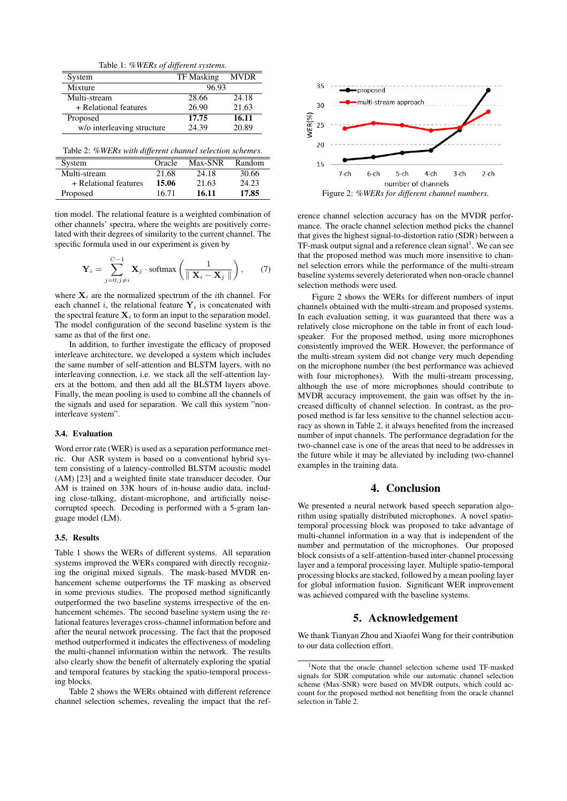Table 1: *%WERs of different systems.*

| System                     | <b>TF</b> Masking | <b>MVDR</b> |  |
|----------------------------|-------------------|-------------|--|
| Mixture                    | 96.93             |             |  |
| Multi-stream               | 28.66             | 24.18       |  |
| + Relational features      | 26.90             | 21.63       |  |
| Proposed                   | 17.75             | 16.11       |  |
| w/o interleaving structure | 24.39             | 20.89       |  |

Table 2: *%WERs with different channel selection schemes.*

| System                | Oracle | Max-SNR | Random |
|-----------------------|--------|---------|--------|
| Multi-stream          | 21.68  | 24.18   | 30.66  |
| + Relational features | 15.06  | 21.63   | 24.23  |
| Proposed              | 16.71  | 16.11   | 17.85  |

tion model. The relational feature is a weighted combination of other channels' spectra, where the weights are positively correlated with their degrees of similarity to the current channel. The specific formula used in our experiment is given by

$$
\mathbf{Y}_{i} = \sum_{j=0, j \neq i}^{C-1} \mathbf{X}_{j} \cdot \text{softmax}\left(\frac{1}{\parallel \mathbf{X}_{i} - \mathbf{X}_{j} \parallel}\right), \quad (7)
$$

where  $X_i$  are the normalized spectrum of the *i*th channel. For each channel i, the relational feature  $Y_i$  is concatenated with the spectral feature  $X_i$  to form an input to the separation model. The model configuration of the second baseline system is the same as that of the first one.

In addition, to further investigate the efficacy of proposed interleave architecture, we developed a system which includes the same number of self-attention and BLSTM layers, with no interleaving connection, i.e. we stack all the self-attention layers at the bottom, and then add all the BLSTM layers above. Finally, the mean pooling is used to combine all the channels of the signals and used for separation. We call this system "noninterleave system".

### 3.4. Evaluation

Word error rate (WER) is used as a separation performance metric. Our ASR system is based on a conventional hybrid system consisting of a latency-controlled BLSTM acoustic model (AM) [23] and a weighted finite state transducer decoder. Our AM is trained on 33K hours of in-house audio data, including close-talking, distant-microphone, and artificially noisecorrupted speech. Decoding is performed with a 5-gram language model (LM).

### 3.5. Results

Table 1 shows the WERs of different systems. All separation systems improved the WERs compared with directly recognizing the original mixed signals. The mask-based MVDR enhancement scheme outperforms the TF masking as observed in some previous studies. The proposed method significantly outperformed the two baseline systems irrespective of the enhancement schemes. The second baseline system using the relational features leverages cross-channel information before and after the neural network processing. The fact that the proposed method outperformed it indicates the effectiveness of modeling the multi-channel information within the network. The results also clearly show the benefit of alternately exploring the spatial and temporal features by stacking the spatio-temporal processing blocks.

Table 2 shows the WERs obtained with different reference channel selection schemes, revealing the impact that the ref-



erence channel selection accuracy has on the MVDR performance. The oracle channel selection method picks the channel that gives the highest signal-to-distortion ratio (SDR) between a TF-mask output signal and a reference clean signal<sup>1</sup>. We can see that the proposed method was much more insensitive to channel selection errors while the performance of the multi-stream baseline systems severely deteriorated when non-oracle channel selection methods were used.

Figure 2 shows the WERs for different numbers of input channels obtained with the multi-stream and proposed systems. In each evaluation setting, it was guaranteed that there was a relatively close microphone on the table in front of each loudspeaker. For the proposed method, using more microphones consistently improved the WER. However, the performance of the multi-stream system did not change very much depending on the microphone number (the best performance was achieved with four microphones). With the multi-stream processing, although the use of more microphones should contribute to MVDR accuracy improvement, the gain was offset by the increased difficulty of channel selection. In contrast, as the proposed method is far less sensitive to the channel selection accuracy as shown in Table 2, it always benefited from the increased number of input channels. The performance degradation for the two-channel case is one of the areas that need to be addresses in the future while it may be alleviated by including two-channel examples in the training data.

# 4. Conclusion

We presented a neural network based speech separation algorithm using spatially distributed microphones. A novel spatiotemporal processing block was proposed to take advantage of multi-channel information in a way that is independent of the number and permutation of the microphones. Our proposed block consists of a self-attention-based inter-channel processing layer and a temporal processing layer. Multiple spatio-temporal processing blocks are stacked, followed by a mean pooling layer for global information fusion. Significant WER improvement was achieved compared with the baseline systems.

# 5. Acknowledgement

We thank Tianyan Zhou and Xiaofei Wang for their contribution to our data collection effort.

<sup>&</sup>lt;sup>1</sup>Note that the oracle channel selection scheme used TF-masked signals for SDR computation while our automatic channel selection scheme (Max-SNR) were based on MVDR outputs, which could account for the proposed method not benefiting from the oracle channel selection in Table 2.